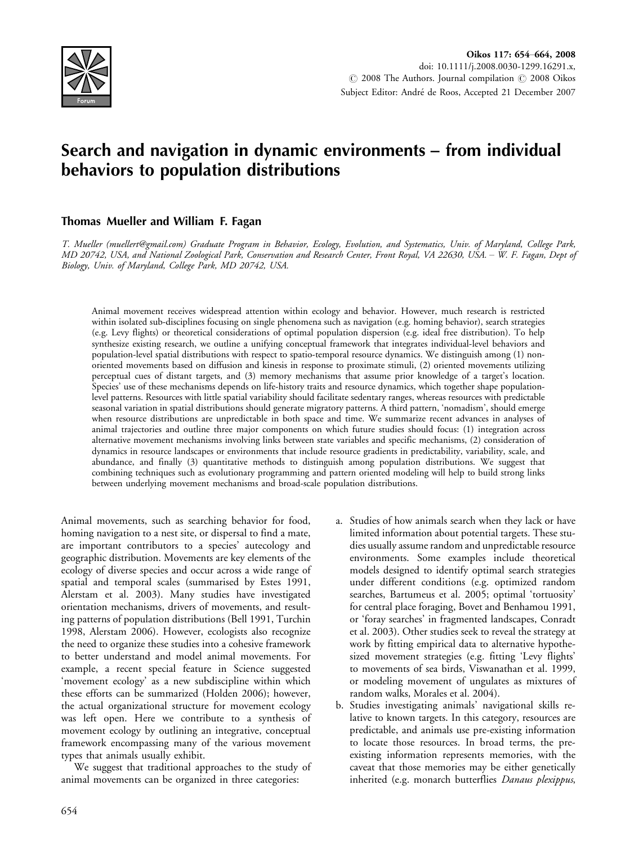

# Search and navigation in dynamic environments  $-$  from individual behaviors to population distributions

# Thomas Mueller and William F. Fagan

T. Mueller (muellert@gmail.com) Graduate Program in Behavior, Ecology, Evolution, and Systematics, Univ. of Maryland, College Park, MD 20742, USA, and National Zoological Park, Conservation and Research Center, Front Royal, VA 22630, USA. W. F. Fagan, Dept of Biology, Univ. of Maryland, College Park, MD 20742, USA.

Animal movement receives widespread attention within ecology and behavior. However, much research is restricted within isolated sub-disciplines focusing on single phenomena such as navigation (e.g. homing behavior), search strategies (e.g. Levy flights) or theoretical considerations of optimal population dispersion (e.g. ideal free distribution). To help synthesize existing research, we outline a unifying conceptual framework that integrates individual-level behaviors and population-level spatial distributions with respect to spatio-temporal resource dynamics. We distinguish among (1) nonoriented movements based on diffusion and kinesis in response to proximate stimuli, (2) oriented movements utilizing perceptual cues of distant targets, and (3) memory mechanisms that assume prior knowledge of a target's location. Species' use of these mechanisms depends on life-history traits and resource dynamics, which together shape populationlevel patterns. Resources with little spatial variability should facilitate sedentary ranges, whereas resources with predictable seasonal variation in spatial distributions should generate migratory patterns. A third pattern, 'nomadism', should emerge when resource distributions are unpredictable in both space and time. We summarize recent advances in analyses of animal trajectories and outline three major components on which future studies should focus: (1) integration across alternative movement mechanisms involving links between state variables and specific mechanisms, (2) consideration of dynamics in resource landscapes or environments that include resource gradients in predictability, variability, scale, and abundance, and finally (3) quantitative methods to distinguish among population distributions. We suggest that combining techniques such as evolutionary programming and pattern oriented modeling will help to build strong links between underlying movement mechanisms and broad-scale population distributions.

Animal movements, such as searching behavior for food, homing navigation to a nest site, or dispersal to find a mate, are important contributors to a species' autecology and geographic distribution. Movements are key elements of the ecology of diverse species and occur across a wide range of spatial and temporal scales (summarised by Estes 1991, Alerstam et al. 2003). Many studies have investigated orientation mechanisms, drivers of movements, and resulting patterns of population distributions (Bell 1991, Turchin 1998, Alerstam 2006). However, ecologists also recognize the need to organize these studies into a cohesive framework to better understand and model animal movements. For example, a recent special feature in Science suggested 'movement ecology' as a new subdiscipline within which these efforts can be summarized (Holden 2006); however, the actual organizational structure for movement ecology was left open. Here we contribute to a synthesis of movement ecology by outlining an integrative, conceptual framework encompassing many of the various movement types that animals usually exhibit.

We suggest that traditional approaches to the study of animal movements can be organized in three categories:

- a. Studies of how animals search when they lack or have limited information about potential targets. These studies usually assume random and unpredictable resource environments. Some examples include theoretical models designed to identify optimal search strategies under different conditions (e.g. optimized random searches, Bartumeus et al. 2005; optimal 'tortuosity' for central place foraging, Bovet and Benhamou 1991, or 'foray searches' in fragmented landscapes, Conradt et al. 2003). Other studies seek to reveal the strategy at work by fitting empirical data to alternative hypothesized movement strategies (e.g. fitting 'Levy flights' to movements of sea birds, Viswanathan et al. 1999, or modeling movement of ungulates as mixtures of random walks, Morales et al. 2004).
- b. Studies investigating animals' navigational skills relative to known targets. In this category, resources are predictable, and animals use pre-existing information to locate those resources. In broad terms, the preexisting information represents memories, with the caveat that those memories may be either genetically inherited (e.g. monarch butterflies Danaus plexippus,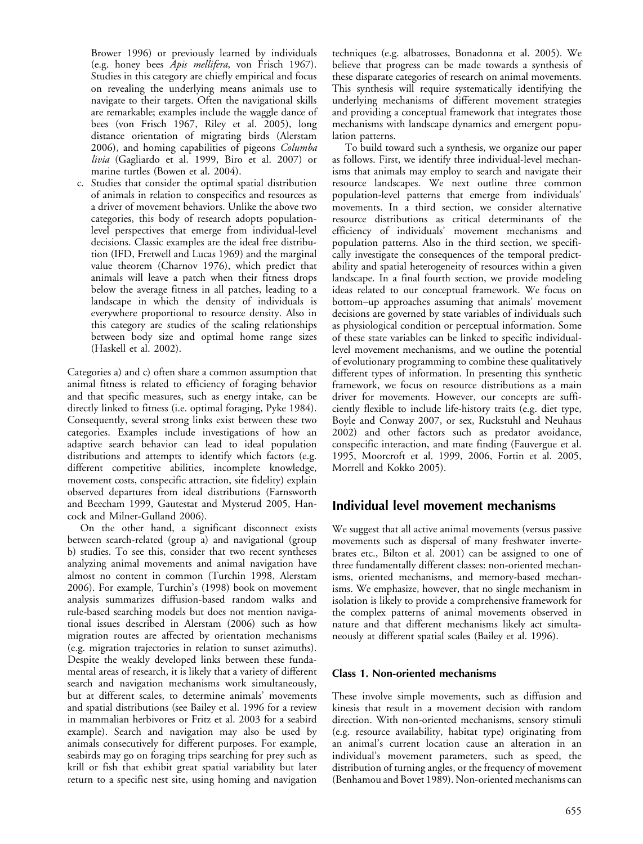Brower 1996) or previously learned by individuals (e.g. honey bees Apis mellifera, von Frisch 1967). Studies in this category are chiefly empirical and focus on revealing the underlying means animals use to navigate to their targets. Often the navigational skills are remarkable; examples include the waggle dance of bees (von Frisch 1967, Riley et al. 2005), long distance orientation of migrating birds (Alerstam 2006), and homing capabilities of pigeons Columba livia (Gagliardo et al. 1999, Biro et al. 2007) or marine turtles (Bowen et al. 2004).

c. Studies that consider the optimal spatial distribution of animals in relation to conspecifics and resources as a driver of movement behaviors. Unlike the above two categories, this body of research adopts populationlevel perspectives that emerge from individual-level decisions. Classic examples are the ideal free distribution (IFD, Fretwell and Lucas 1969) and the marginal value theorem (Charnov 1976), which predict that animals will leave a patch when their fitness drops below the average fitness in all patches, leading to a landscape in which the density of individuals is everywhere proportional to resource density. Also in this category are studies of the scaling relationships between body size and optimal home range sizes (Haskell et al. 2002).

Categories a) and c) often share a common assumption that animal fitness is related to efficiency of foraging behavior and that specific measures, such as energy intake, can be directly linked to fitness (i.e. optimal foraging, Pyke 1984). Consequently, several strong links exist between these two categories. Examples include investigations of how an adaptive search behavior can lead to ideal population distributions and attempts to identify which factors (e.g. different competitive abilities, incomplete knowledge, movement costs, conspecific attraction, site fidelity) explain observed departures from ideal distributions (Farnsworth and Beecham 1999, Gautestat and Mysterud 2005, Hancock and Milner-Gulland 2006).

On the other hand, a significant disconnect exists between search-related (group a) and navigational (group b) studies. To see this, consider that two recent syntheses analyzing animal movements and animal navigation have almost no content in common (Turchin 1998, Alerstam 2006). For example, Turchin's (1998) book on movement analysis summarizes diffusion-based random walks and rule-based searching models but does not mention navigational issues described in Alerstam (2006) such as how migration routes are affected by orientation mechanisms (e.g. migration trajectories in relation to sunset azimuths). Despite the weakly developed links between these fundamental areas of research, it is likely that a variety of different search and navigation mechanisms work simultaneously, but at different scales, to determine animals' movements and spatial distributions (see Bailey et al. 1996 for a review in mammalian herbivores or Fritz et al. 2003 for a seabird example). Search and navigation may also be used by animals consecutively for different purposes. For example, seabirds may go on foraging trips searching for prey such as krill or fish that exhibit great spatial variability but later return to a specific nest site, using homing and navigation

techniques (e.g. albatrosses, Bonadonna et al. 2005). We believe that progress can be made towards a synthesis of these disparate categories of research on animal movements. This synthesis will require systematically identifying the underlying mechanisms of different movement strategies and providing a conceptual framework that integrates those mechanisms with landscape dynamics and emergent population patterns.

To build toward such a synthesis, we organize our paper as follows. First, we identify three individual-level mechanisms that animals may employ to search and navigate their resource landscapes. We next outline three common population-level patterns that emerge from individuals' movements. In a third section, we consider alternative resource distributions as critical determinants of the efficiency of individuals' movement mechanisms and population patterns. Also in the third section, we specifically investigate the consequences of the temporal predictability and spatial heterogeneity of resources within a given landscape. In a final fourth section, we provide modeling ideas related to our conceptual framework. We focus on bottom-up approaches assuming that animals' movement decisions are governed by state variables of individuals such as physiological condition or perceptual information. Some of these state variables can be linked to specific individuallevel movement mechanisms, and we outline the potential of evolutionary programming to combine these qualitatively different types of information. In presenting this synthetic framework, we focus on resource distributions as a main driver for movements. However, our concepts are sufficiently flexible to include life-history traits (e.g. diet type, Boyle and Conway 2007, or sex, Ruckstuhl and Neuhaus 2002) and other factors such as predator avoidance, conspecific interaction, and mate finding (Fauvergue et al. 1995, Moorcroft et al. 1999, 2006, Fortin et al. 2005, Morrell and Kokko 2005).

# Individual level movement mechanisms

We suggest that all active animal movements (versus passive movements such as dispersal of many freshwater invertebrates etc., Bilton et al. 2001) can be assigned to one of three fundamentally different classes: non-oriented mechanisms, oriented mechanisms, and memory-based mechanisms. We emphasize, however, that no single mechanism in isolation is likely to provide a comprehensive framework for the complex patterns of animal movements observed in nature and that different mechanisms likely act simultaneously at different spatial scales (Bailey et al. 1996).

### Class 1. Non-oriented mechanisms

These involve simple movements, such as diffusion and kinesis that result in a movement decision with random direction. With non-oriented mechanisms, sensory stimuli (e.g. resource availability, habitat type) originating from an animal's current location cause an alteration in an individual's movement parameters, such as speed, the distribution of turning angles, or the frequency of movement (Benhamou and Bovet 1989). Non-oriented mechanisms can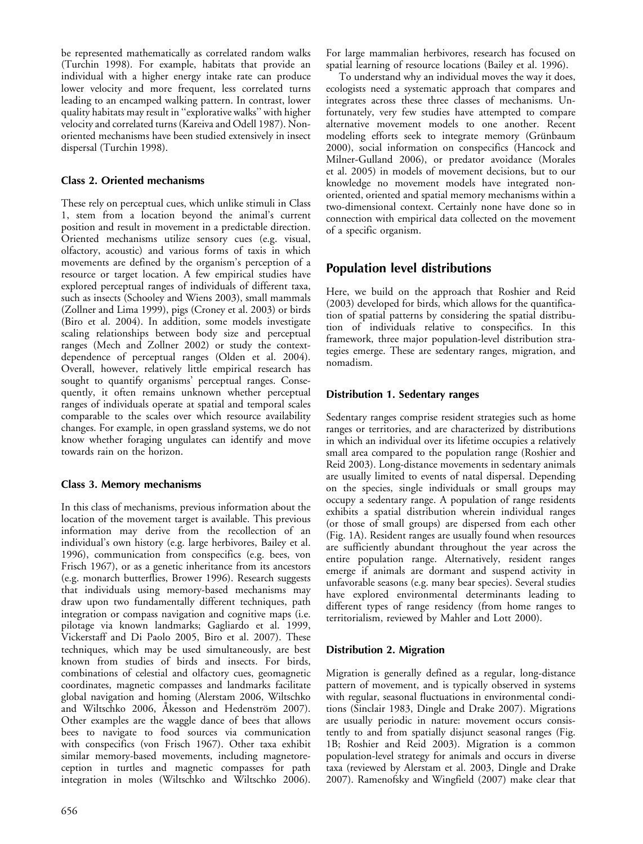be represented mathematically as correlated random walks (Turchin 1998). For example, habitats that provide an individual with a higher energy intake rate can produce lower velocity and more frequent, less correlated turns leading to an encamped walking pattern. In contrast, lower quality habitats may result in ''explorative walks'' with higher velocity and correlated turns (Kareiva and Odell 1987). Nonoriented mechanisms have been studied extensively in insect dispersal (Turchin 1998).

## Class 2. Oriented mechanisms

These rely on perceptual cues, which unlike stimuli in Class 1, stem from a location beyond the animal's current position and result in movement in a predictable direction. Oriented mechanisms utilize sensory cues (e.g. visual, olfactory, acoustic) and various forms of taxis in which movements are defined by the organism's perception of a resource or target location. A few empirical studies have explored perceptual ranges of individuals of different taxa, such as insects (Schooley and Wiens 2003), small mammals (Zollner and Lima 1999), pigs (Croney et al. 2003) or birds (Biro et al. 2004). In addition, some models investigate scaling relationships between body size and perceptual ranges (Mech and Zollner 2002) or study the contextdependence of perceptual ranges (Olden et al. 2004). Overall, however, relatively little empirical research has sought to quantify organisms' perceptual ranges. Consequently, it often remains unknown whether perceptual ranges of individuals operate at spatial and temporal scales comparable to the scales over which resource availability changes. For example, in open grassland systems, we do not know whether foraging ungulates can identify and move towards rain on the horizon.

# Class 3. Memory mechanisms

In this class of mechanisms, previous information about the location of the movement target is available. This previous information may derive from the recollection of an individual's own history (e.g. large herbivores, Bailey et al. 1996), communication from conspecifics (e.g. bees, von Frisch 1967), or as a genetic inheritance from its ancestors (e.g. monarch butterflies, Brower 1996). Research suggests that individuals using memory-based mechanisms may draw upon two fundamentally different techniques, path integration or compass navigation and cognitive maps (i.e. pilotage via known landmarks; Gagliardo et al. 1999, Vickerstaff and Di Paolo 2005, Biro et al. 2007). These techniques, which may be used simultaneously, are best known from studies of birds and insects. For birds, combinations of celestial and olfactory cues, geomagnetic coordinates, magnetic compasses and landmarks facilitate global navigation and homing (Alerstam 2006, Wiltschko and Wiltschko 2006, Åkesson and Hedenström 2007). Other examples are the waggle dance of bees that allows bees to navigate to food sources via communication with conspecifics (von Frisch 1967). Other taxa exhibit similar memory-based movements, including magnetoreception in turtles and magnetic compasses for path integration in moles (Wiltschko and Wiltschko 2006).

For large mammalian herbivores, research has focused on spatial learning of resource locations (Bailey et al. 1996).

To understand why an individual moves the way it does, ecologists need a systematic approach that compares and integrates across these three classes of mechanisms. Unfortunately, very few studies have attempted to compare alternative movement models to one another. Recent modeling efforts seek to integrate memory (Grünbaum 2000), social information on conspecifics (Hancock and Milner-Gulland 2006), or predator avoidance (Morales et al. 2005) in models of movement decisions, but to our knowledge no movement models have integrated nonoriented, oriented and spatial memory mechanisms within a two-dimensional context. Certainly none have done so in connection with empirical data collected on the movement of a specific organism.

# Population level distributions

Here, we build on the approach that Roshier and Reid (2003) developed for birds, which allows for the quantification of spatial patterns by considering the spatial distribution of individuals relative to conspecifics. In this framework, three major population-level distribution strategies emerge. These are sedentary ranges, migration, and nomadism.

# Distribution 1. Sedentary ranges

Sedentary ranges comprise resident strategies such as home ranges or territories, and are characterized by distributions in which an individual over its lifetime occupies a relatively small area compared to the population range (Roshier and Reid 2003). Long-distance movements in sedentary animals are usually limited to events of natal dispersal. Depending on the species, single individuals or small groups may occupy a sedentary range. A population of range residents exhibits a spatial distribution wherein individual ranges (or those of small groups) are dispersed from each other (Fig. 1A). Resident ranges are usually found when resources are sufficiently abundant throughout the year across the entire population range. Alternatively, resident ranges emerge if animals are dormant and suspend activity in unfavorable seasons (e.g. many bear species). Several studies have explored environmental determinants leading to different types of range residency (from home ranges to territorialism, reviewed by Mahler and Lott 2000).

# Distribution 2. Migration

Migration is generally defined as a regular, long-distance pattern of movement, and is typically observed in systems with regular, seasonal fluctuations in environmental conditions (Sinclair 1983, Dingle and Drake 2007). Migrations are usually periodic in nature: movement occurs consistently to and from spatially disjunct seasonal ranges (Fig. 1B; Roshier and Reid 2003). Migration is a common population-level strategy for animals and occurs in diverse taxa (reviewed by Alerstam et al. 2003, Dingle and Drake 2007). Ramenofsky and Wingfield (2007) make clear that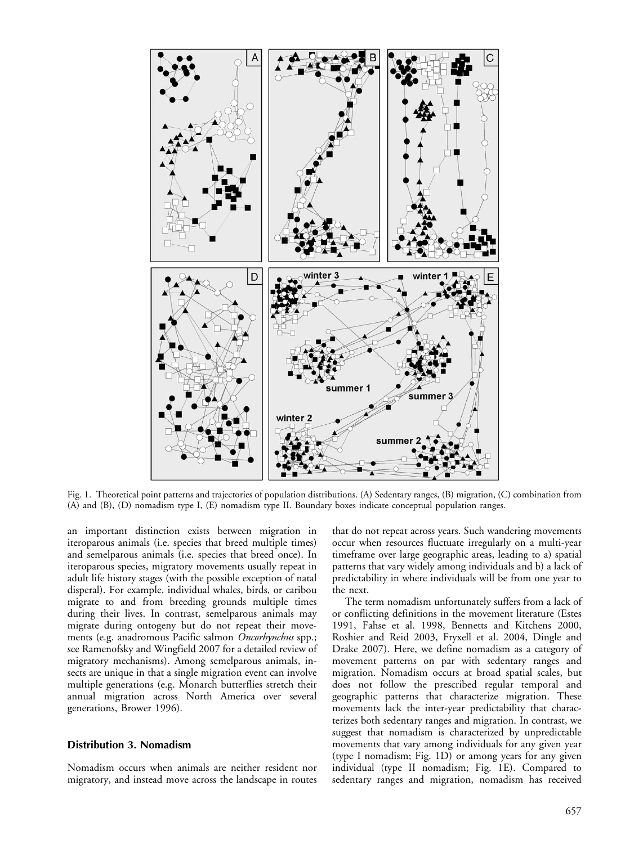

Fig. 1. Theoretical point patterns and trajectories of population distributions. (A) Sedentary ranges, (B) migration, (C) combination from (A) and (B), (D) nomadism type I, (E) nomadism type II. Boundary boxes indicate conceptual population ranges.

an important distinction exists between migration in iteroparous animals (i.e. species that breed multiple times) and semelparous animals (i.e. species that breed once). In iteroparous species, migratory movements usually repeat in adult life history stages (with the possible exception of natal disperal). For example, individual whales, birds, or caribou migrate to and from breeding grounds multiple times during their lives. In contrast, semelparous animals may migrate during ontogeny but do not repeat their movements (e.g. anadromous Pacific salmon *Oncorhynchus* spp.; see Ramenofsky and Wingfield 2007 for a detailed review of migratory mechanisms). Among semelparous animals, insects are unique in that a single migration event can involve multiple generations (e.g. Monarch butterflies stretch their annual migration across North America over several generations, Brower 1996).

### Distribution 3. Nomadism

Nomadism occurs when animals are neither resident nor migratory, and instead move across the landscape in routes that do not repeat across years. Such wandering movements occur when resources fluctuate irregularly on a multi-year timeframe over large geographic areas, leading to a) spatial patterns that vary widely among individuals and b) a lack of predictability in where individuals will be from one year to the next.

The term nomadism unfortunately suffers from a lack of or conflicting definitions in the movement literature (Estes 1991, Fahse et al. 1998, Bennetts and Kitchens 2000, Roshier and Reid 2003, Fryxell et al. 2004, Dingle and Drake 2007). Here, we define nomadism as a category of movement patterns on par with sedentary ranges and migration. Nomadism occurs at broad spatial scales, but does not follow the prescribed regular temporal and geographic patterns that characterize migration. These movements lack the inter-year predictability that characterizes both sedentary ranges and migration. In contrast, we suggest that nomadism is characterized by unpredictable movements that vary among individuals for any given year (type I nomadism; Fig. 1D) or among years for any given individual (type II nomadism; Fig. 1E). Compared to sedentary ranges and migration, nomadism has received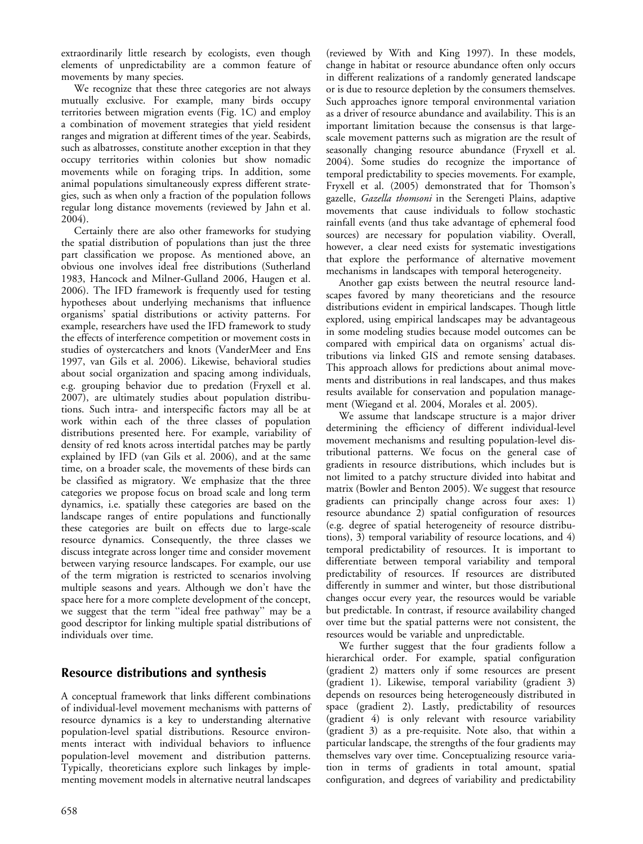extraordinarily little research by ecologists, even though elements of unpredictability are a common feature of movements by many species.

We recognize that these three categories are not always mutually exclusive. For example, many birds occupy territories between migration events (Fig. 1C) and employ a combination of movement strategies that yield resident ranges and migration at different times of the year. Seabirds, such as albatrosses, constitute another exception in that they occupy territories within colonies but show nomadic movements while on foraging trips. In addition, some animal populations simultaneously express different strategies, such as when only a fraction of the population follows regular long distance movements (reviewed by Jahn et al. 2004).

Certainly there are also other frameworks for studying the spatial distribution of populations than just the three part classification we propose. As mentioned above, an obvious one involves ideal free distributions (Sutherland 1983, Hancock and Milner-Gulland 2006, Haugen et al. 2006). The IFD framework is frequently used for testing hypotheses about underlying mechanisms that influence organisms' spatial distributions or activity patterns. For example, researchers have used the IFD framework to study the effects of interference competition or movement costs in studies of oystercatchers and knots (VanderMeer and Ens 1997, van Gils et al. 2006). Likewise, behavioral studies about social organization and spacing among individuals, e.g. grouping behavior due to predation (Fryxell et al. 2007), are ultimately studies about population distributions. Such intra- and interspecific factors may all be at work within each of the three classes of population distributions presented here. For example, variability of density of red knots across intertidal patches may be partly explained by IFD (van Gils et al. 2006), and at the same time, on a broader scale, the movements of these birds can be classified as migratory. We emphasize that the three categories we propose focus on broad scale and long term dynamics, i.e. spatially these categories are based on the landscape ranges of entire populations and functionally these categories are built on effects due to large-scale resource dynamics. Consequently, the three classes we discuss integrate across longer time and consider movement between varying resource landscapes. For example, our use of the term migration is restricted to scenarios involving multiple seasons and years. Although we don't have the space here for a more complete development of the concept, we suggest that the term ''ideal free pathway'' may be a good descriptor for linking multiple spatial distributions of individuals over time.

# Resource distributions and synthesis

A conceptual framework that links different combinations of individual-level movement mechanisms with patterns of resource dynamics is a key to understanding alternative population-level spatial distributions. Resource environments interact with individual behaviors to influence population-level movement and distribution patterns. Typically, theoreticians explore such linkages by implementing movement models in alternative neutral landscapes

658

(reviewed by With and King 1997). In these models, change in habitat or resource abundance often only occurs in different realizations of a randomly generated landscape or is due to resource depletion by the consumers themselves. Such approaches ignore temporal environmental variation as a driver of resource abundance and availability. This is an important limitation because the consensus is that largescale movement patterns such as migration are the result of seasonally changing resource abundance (Fryxell et al. 2004). Some studies do recognize the importance of temporal predictability to species movements. For example, Fryxell et al. (2005) demonstrated that for Thomson's gazelle, Gazella thomsoni in the Serengeti Plains, adaptive movements that cause individuals to follow stochastic rainfall events (and thus take advantage of ephemeral food sources) are necessary for population viability. Overall, however, a clear need exists for systematic investigations that explore the performance of alternative movement mechanisms in landscapes with temporal heterogeneity.

Another gap exists between the neutral resource landscapes favored by many theoreticians and the resource distributions evident in empirical landscapes. Though little explored, using empirical landscapes may be advantageous in some modeling studies because model outcomes can be compared with empirical data on organisms' actual distributions via linked GIS and remote sensing databases. This approach allows for predictions about animal movements and distributions in real landscapes, and thus makes results available for conservation and population management (Wiegand et al. 2004, Morales et al. 2005).

We assume that landscape structure is a major driver determining the efficiency of different individual-level movement mechanisms and resulting population-level distributional patterns. We focus on the general case of gradients in resource distributions, which includes but is not limited to a patchy structure divided into habitat and matrix (Bowler and Benton 2005). We suggest that resource gradients can principally change across four axes: 1) resource abundance 2) spatial configuration of resources (e.g. degree of spatial heterogeneity of resource distributions), 3) temporal variability of resource locations, and 4) temporal predictability of resources. It is important to differentiate between temporal variability and temporal predictability of resources. If resources are distributed differently in summer and winter, but those distributional changes occur every year, the resources would be variable but predictable. In contrast, if resource availability changed over time but the spatial patterns were not consistent, the resources would be variable and unpredictable.

We further suggest that the four gradients follow a hierarchical order. For example, spatial configuration (gradient 2) matters only if some resources are present (gradient 1). Likewise, temporal variability (gradient 3) depends on resources being heterogeneously distributed in space (gradient 2). Lastly, predictability of resources (gradient 4) is only relevant with resource variability (gradient 3) as a pre-requisite. Note also, that within a particular landscape, the strengths of the four gradients may themselves vary over time. Conceptualizing resource variation in terms of gradients in total amount, spatial configuration, and degrees of variability and predictability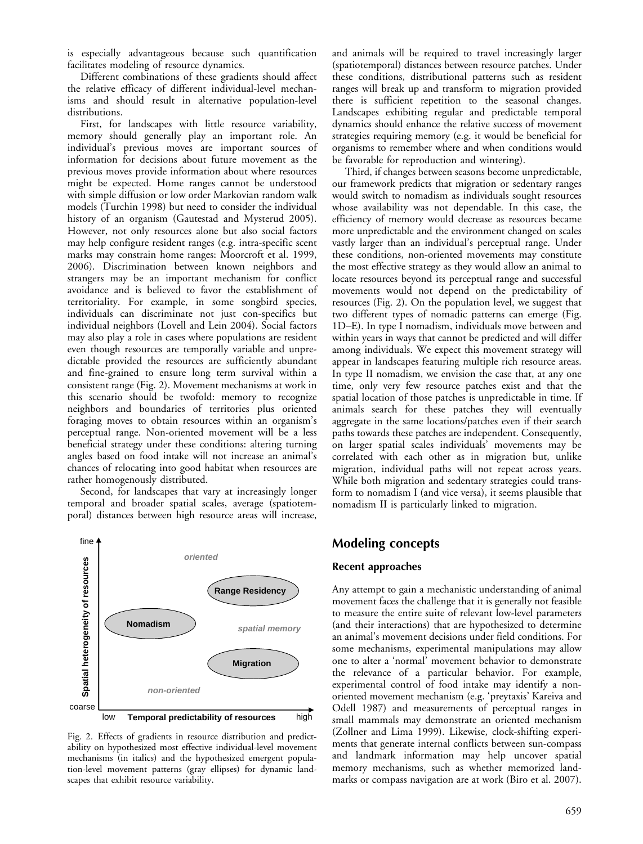is especially advantageous because such quantification facilitates modeling of resource dynamics.

Different combinations of these gradients should affect the relative efficacy of different individual-level mechanisms and should result in alternative population-level distributions.

First, for landscapes with little resource variability, memory should generally play an important role. An individual's previous moves are important sources of information for decisions about future movement as the previous moves provide information about where resources might be expected. Home ranges cannot be understood with simple diffusion or low order Markovian random walk models (Turchin 1998) but need to consider the individual history of an organism (Gautestad and Mysterud 2005). However, not only resources alone but also social factors may help configure resident ranges (e.g. intra-specific scent marks may constrain home ranges: Moorcroft et al. 1999, 2006). Discrimination between known neighbors and strangers may be an important mechanism for conflict avoidance and is believed to favor the establishment of territoriality. For example, in some songbird species, individuals can discriminate not just con-specifics but individual neighbors (Lovell and Lein 2004). Social factors may also play a role in cases where populations are resident even though resources are temporally variable and unpredictable provided the resources are sufficiently abundant and fine-grained to ensure long term survival within a consistent range (Fig. 2). Movement mechanisms at work in this scenario should be twofold: memory to recognize neighbors and boundaries of territories plus oriented foraging moves to obtain resources within an organism's perceptual range. Non-oriented movement will be a less beneficial strategy under these conditions: altering turning angles based on food intake will not increase an animal's chances of relocating into good habitat when resources are rather homogenously distributed.

Second, for landscapes that vary at increasingly longer temporal and broader spatial scales, average (spatiotemporal) distances between high resource areas will increase,



Fig. 2. Effects of gradients in resource distribution and predictability on hypothesized most effective individual-level movement mechanisms (in italics) and the hypothesized emergent population-level movement patterns (gray ellipses) for dynamic landscapes that exhibit resource variability.

and animals will be required to travel increasingly larger (spatiotemporal) distances between resource patches. Under these conditions, distributional patterns such as resident ranges will break up and transform to migration provided there is sufficient repetition to the seasonal changes. Landscapes exhibiting regular and predictable temporal dynamics should enhance the relative success of movement strategies requiring memory (e.g. it would be beneficial for organisms to remember where and when conditions would be favorable for reproduction and wintering).

Third, if changes between seasons become unpredictable, our framework predicts that migration or sedentary ranges would switch to nomadism as individuals sought resources whose availability was not dependable. In this case, the efficiency of memory would decrease as resources became more unpredictable and the environment changed on scales vastly larger than an individual's perceptual range. Under these conditions, non-oriented movements may constitute the most effective strategy as they would allow an animal to locate resources beyond its perceptual range and successful movements would not depend on the predictability of resources (Fig. 2). On the population level, we suggest that two different types of nomadic patterns can emerge (Fig. 1D-E). In type I nomadism, individuals move between and within years in ways that cannot be predicted and will differ among individuals. We expect this movement strategy will appear in landscapes featuring multiple rich resource areas. In type II nomadism, we envision the case that, at any one time, only very few resource patches exist and that the spatial location of those patches is unpredictable in time. If animals search for these patches they will eventually aggregate in the same locations/patches even if their search paths towards these patches are independent. Consequently, on larger spatial scales individuals' movements may be correlated with each other as in migration but, unlike migration, individual paths will not repeat across years. While both migration and sedentary strategies could transform to nomadism I (and vice versa), it seems plausible that nomadism II is particularly linked to migration.

## Modeling concepts

#### Recent approaches

Any attempt to gain a mechanistic understanding of animal movement faces the challenge that it is generally not feasible to measure the entire suite of relevant low-level parameters (and their interactions) that are hypothesized to determine an animal's movement decisions under field conditions. For some mechanisms, experimental manipulations may allow one to alter a 'normal' movement behavior to demonstrate the relevance of a particular behavior. For example, experimental control of food intake may identify a nonoriented movement mechanism (e.g. 'preytaxis' Kareiva and Odell 1987) and measurements of perceptual ranges in small mammals may demonstrate an oriented mechanism (Zollner and Lima 1999). Likewise, clock-shifting experiments that generate internal conflicts between sun-compass and landmark information may help uncover spatial memory mechanisms, such as whether memorized landmarks or compass navigation are at work (Biro et al. 2007).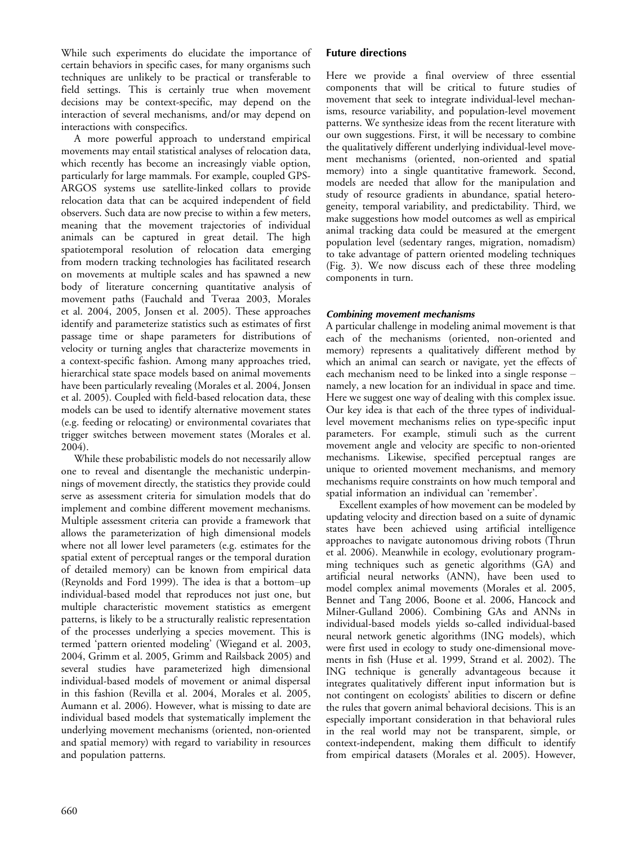While such experiments do elucidate the importance of certain behaviors in specific cases, for many organisms such techniques are unlikely to be practical or transferable to field settings. This is certainly true when movement decisions may be context-specific, may depend on the interaction of several mechanisms, and/or may depend on interactions with conspecifics.

A more powerful approach to understand empirical movements may entail statistical analyses of relocation data, which recently has become an increasingly viable option, particularly for large mammals. For example, coupled GPS-ARGOS systems use satellite-linked collars to provide relocation data that can be acquired independent of field observers. Such data are now precise to within a few meters, meaning that the movement trajectories of individual animals can be captured in great detail. The high spatiotemporal resolution of relocation data emerging from modern tracking technologies has facilitated research on movements at multiple scales and has spawned a new body of literature concerning quantitative analysis of movement paths (Fauchald and Tveraa 2003, Morales et al. 2004, 2005, Jonsen et al. 2005). These approaches identify and parameterize statistics such as estimates of first passage time or shape parameters for distributions of velocity or turning angles that characterize movements in a context-specific fashion. Among many approaches tried, hierarchical state space models based on animal movements have been particularly revealing (Morales et al. 2004, Jonsen et al. 2005). Coupled with field-based relocation data, these models can be used to identify alternative movement states (e.g. feeding or relocating) or environmental covariates that trigger switches between movement states (Morales et al. 2004).

While these probabilistic models do not necessarily allow one to reveal and disentangle the mechanistic underpinnings of movement directly, the statistics they provide could serve as assessment criteria for simulation models that do implement and combine different movement mechanisms. Multiple assessment criteria can provide a framework that allows the parameterization of high dimensional models where not all lower level parameters (e.g. estimates for the spatial extent of perceptual ranges or the temporal duration of detailed memory) can be known from empirical data (Reynolds and Ford 1999). The idea is that a bottom-up individual-based model that reproduces not just one, but multiple characteristic movement statistics as emergent patterns, is likely to be a structurally realistic representation of the processes underlying a species movement. This is termed 'pattern oriented modeling' (Wiegand et al. 2003, 2004, Grimm et al. 2005, Grimm and Railsback 2005) and several studies have parameterized high dimensional individual-based models of movement or animal dispersal in this fashion (Revilla et al. 2004, Morales et al. 2005, Aumann et al. 2006). However, what is missing to date are individual based models that systematically implement the underlying movement mechanisms (oriented, non-oriented and spatial memory) with regard to variability in resources and population patterns.

## Future directions

Here we provide a final overview of three essential components that will be critical to future studies of movement that seek to integrate individual-level mechanisms, resource variability, and population-level movement patterns. We synthesize ideas from the recent literature with our own suggestions. First, it will be necessary to combine the qualitatively different underlying individual-level movement mechanisms (oriented, non-oriented and spatial memory) into a single quantitative framework. Second, models are needed that allow for the manipulation and study of resource gradients in abundance, spatial heterogeneity, temporal variability, and predictability. Third, we make suggestions how model outcomes as well as empirical animal tracking data could be measured at the emergent population level (sedentary ranges, migration, nomadism) to take advantage of pattern oriented modeling techniques (Fig. 3). We now discuss each of these three modeling components in turn.

### Combining movement mechanisms

A particular challenge in modeling animal movement is that each of the mechanisms (oriented, non-oriented and memory) represents a qualitatively different method by which an animal can search or navigate, yet the effects of each mechanism need to be linked into a single response namely, a new location for an individual in space and time. Here we suggest one way of dealing with this complex issue. Our key idea is that each of the three types of individuallevel movement mechanisms relies on type-specific input parameters. For example, stimuli such as the current movement angle and velocity are specific to non-oriented mechanisms. Likewise, specified perceptual ranges are unique to oriented movement mechanisms, and memory mechanisms require constraints on how much temporal and spatial information an individual can 'remember'.

Excellent examples of how movement can be modeled by updating velocity and direction based on a suite of dynamic states have been achieved using artificial intelligence approaches to navigate autonomous driving robots (Thrun et al. 2006). Meanwhile in ecology, evolutionary programming techniques such as genetic algorithms (GA) and artificial neural networks (ANN), have been used to model complex animal movements (Morales et al. 2005, Bennet and Tang 2006, Boone et al. 2006, Hancock and Milner-Gulland 2006). Combining GAs and ANNs in individual-based models yields so-called individual-based neural network genetic algorithms (ING models), which were first used in ecology to study one-dimensional movements in fish (Huse et al. 1999, Strand et al. 2002). The ING technique is generally advantageous because it integrates qualitatively different input information but is not contingent on ecologists' abilities to discern or define the rules that govern animal behavioral decisions. This is an especially important consideration in that behavioral rules in the real world may not be transparent, simple, or context-independent, making them difficult to identify from empirical datasets (Morales et al. 2005). However,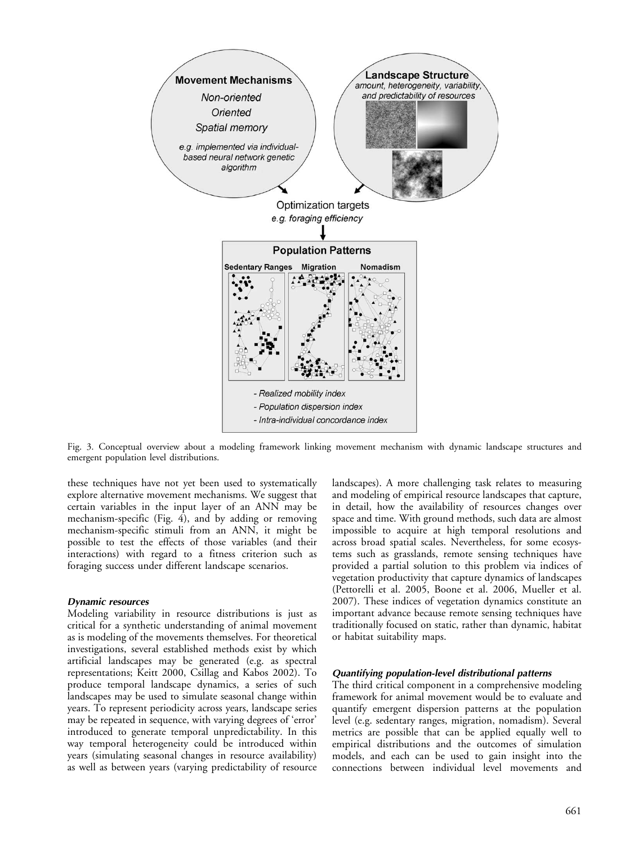

Fig. 3. Conceptual overview about a modeling framework linking movement mechanism with dynamic landscape structures and emergent population level distributions.

these techniques have not yet been used to systematically explore alternative movement mechanisms. We suggest that certain variables in the input layer of an ANN may be mechanism-specific (Fig.  $\overline{4}$ ), and by adding or removing mechanism-specific stimuli from an ANN, it might be possible to test the effects of those variables (and their interactions) with regard to a fitness criterion such as foraging success under different landscape scenarios.

### Dynamic resources

Modeling variability in resource distributions is just as critical for a synthetic understanding of animal movement as is modeling of the movements themselves. For theoretical investigations, several established methods exist by which artificial landscapes may be generated (e.g. as spectral representations; Keitt 2000, Csillag and Kabos 2002). To produce temporal landscape dynamics, a series of such landscapes may be used to simulate seasonal change within years. To represent periodicity across years, landscape series may be repeated in sequence, with varying degrees of 'error' introduced to generate temporal unpredictability. In this way temporal heterogeneity could be introduced within years (simulating seasonal changes in resource availability) as well as between years (varying predictability of resource landscapes). A more challenging task relates to measuring and modeling of empirical resource landscapes that capture, in detail, how the availability of resources changes over space and time. With ground methods, such data are almost impossible to acquire at high temporal resolutions and across broad spatial scales. Nevertheless, for some ecosystems such as grasslands, remote sensing techniques have provided a partial solution to this problem via indices of vegetation productivity that capture dynamics of landscapes (Pettorelli et al. 2005, Boone et al. 2006, Mueller et al. 2007). These indices of vegetation dynamics constitute an important advance because remote sensing techniques have traditionally focused on static, rather than dynamic, habitat or habitat suitability maps.

#### Quantifying population-level distributional patterns

The third critical component in a comprehensive modeling framework for animal movement would be to evaluate and quantify emergent dispersion patterns at the population level (e.g. sedentary ranges, migration, nomadism). Several metrics are possible that can be applied equally well to empirical distributions and the outcomes of simulation models, and each can be used to gain insight into the connections between individual level movements and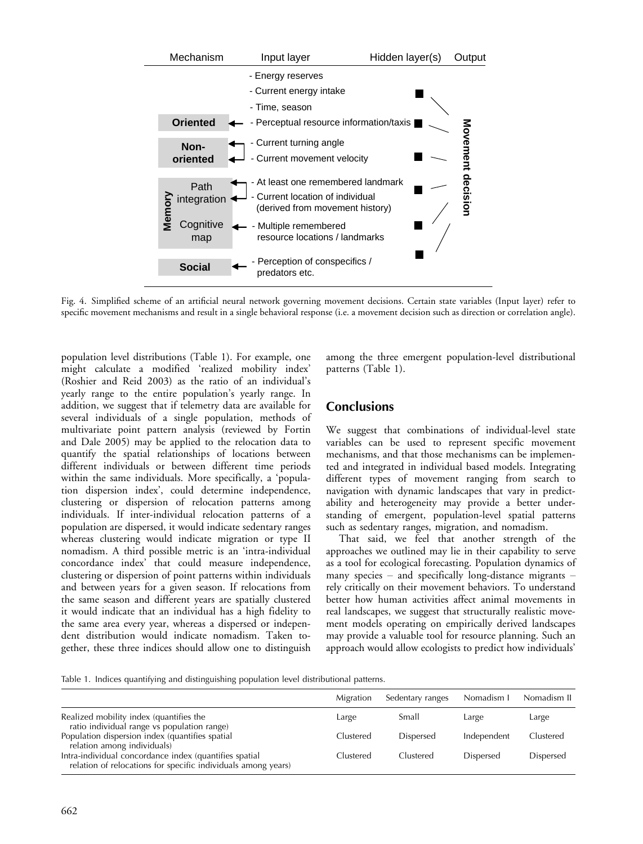

Fig. 4. Simplified scheme of an artificial neural network governing movement decisions. Certain state variables (Input layer) refer to specific movement mechanisms and result in a single behavioral response (i.e. a movement decision such as direction or correlation angle).

population level distributions (Table 1). For example, one might calculate a modified 'realized mobility index' (Roshier and Reid 2003) as the ratio of an individual's yearly range to the entire population's yearly range. In addition, we suggest that if telemetry data are available for several individuals of a single population, methods of multivariate point pattern analysis (reviewed by Fortin and Dale 2005) may be applied to the relocation data to quantify the spatial relationships of locations between different individuals or between different time periods within the same individuals. More specifically, a 'population dispersion index', could determine independence, clustering or dispersion of relocation patterns among individuals. If inter-individual relocation patterns of a population are dispersed, it would indicate sedentary ranges whereas clustering would indicate migration or type II nomadism. A third possible metric is an 'intra-individual concordance index' that could measure independence, clustering or dispersion of point patterns within individuals and between years for a given season. If relocations from the same season and different years are spatially clustered it would indicate that an individual has a high fidelity to the same area every year, whereas a dispersed or independent distribution would indicate nomadism. Taken together, these three indices should allow one to distinguish

among the three emergent population-level distributional patterns (Table 1).

# **Conclusions**

We suggest that combinations of individual-level state variables can be used to represent specific movement mechanisms, and that those mechanisms can be implemented and integrated in individual based models. Integrating different types of movement ranging from search to navigation with dynamic landscapes that vary in predictability and heterogeneity may provide a better understanding of emergent, population-level spatial patterns such as sedentary ranges, migration, and nomadism.

That said, we feel that another strength of the approaches we outlined may lie in their capability to serve as a tool for ecological forecasting. Population dynamics of many species  $-$  and specifically long-distance migrants  $$ rely critically on their movement behaviors. To understand better how human activities affect animal movements in real landscapes, we suggest that structurally realistic movement models operating on empirically derived landscapes may provide a valuable tool for resource planning. Such an approach would allow ecologists to predict how individuals'

Table 1. Indices quantifying and distinguishing population level distributional patterns.

|                                                                                                                         | Migration | Sedentary ranges | Nomadism I  | Nomadism II |
|-------------------------------------------------------------------------------------------------------------------------|-----------|------------------|-------------|-------------|
| Realized mobility index (quantifies the<br>ratio individual range vs population range)                                  | Large     | Small            | Large       | Large       |
| Population dispersion index (quantifies spatial)<br>relation among individuals)                                         | Clustered | Dispersed        | Independent | Clustered   |
| Intra-individual concordance index (quantifies spatial<br>relation of relocations for specific individuals among years) | Clustered | Clustered        | Dispersed   | Dispersed   |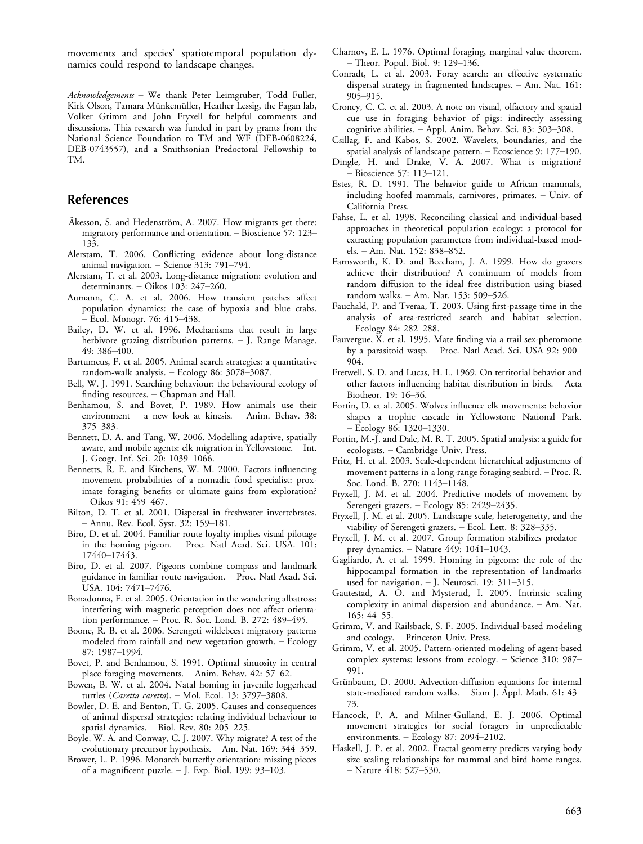movements and species' spatiotemporal population dynamics could respond to landscape changes.

Acknowledgements - We thank Peter Leimgruber, Todd Fuller, Kirk Olson, Tamara Münkemüller, Heather Lessig, the Fagan lab, Volker Grimm and John Fryxell for helpful comments and discussions. This research was funded in part by grants from the National Science Foundation to TM and WF (DEB-0608224, DEB-0743557), and a Smithsonian Predoctoral Fellowship to TM.

# References

- Åkesson, S. and Hedenström, A. 2007. How migrants get there: migratory performance and orientation. – Bioscience 57: 123– 133.
- Alerstam, T. 2006. Conflicting evidence about long-distance animal navigation.  $-$  Science 313: 791–794.
- Alerstam, T. et al. 2003. Long-distance migration: evolution and determinants.  $-$  Oikos 103: 247-260.
- Aumann, C. A. et al. 2006. How transient patches affect population dynamics: the case of hypoxia and blue crabs. - Ecol. Monogr. 76: 415–438.
- Bailey, D. W. et al. 1996. Mechanisms that result in large herbivore grazing distribution patterns.  $-$  J. Range Manage. 49: 386400.
- Bartumeus, F. et al. 2005. Animal search strategies: a quantitative random-walk analysis.  $-$  Ecology 86: 3078-3087.
- Bell, W. J. 1991. Searching behaviour: the behavioural ecology of finding resources. Chapman and Hall.
- Benhamou, S. and Bovet, P. 1989. How animals use their environment  $-$  a new look at kinesis.  $-$  Anim. Behav. 38: 375-383.
- Bennett, D. A. and Tang, W. 2006. Modelling adaptive, spatially aware, and mobile agents: elk migration in Yellowstone. Int. J. Geogr. Inf. Sci. 20: 1039-1066.
- Bennetts, R. E. and Kitchens, W. M. 2000. Factors influencing movement probabilities of a nomadic food specialist: proximate foraging benefits or ultimate gains from exploration?  $-$  Oikos 91: 459–467.
- Bilton, D. T. et al. 2001. Dispersal in freshwater invertebrates. - Annu. Rev. Ecol. Syst. 32: 159-181.
- Biro, D. et al. 2004. Familiar route loyalty implies visual pilotage in the homing pigeon. - Proc. Natl Acad. Sci. USA. 101: 17440-17443.
- Biro, D. et al. 2007. Pigeons combine compass and landmark guidance in familiar route navigation. Proc. Natl Acad. Sci. USA. 104: 7471-7476.
- Bonadonna, F. et al. 2005. Orientation in the wandering albatross: interfering with magnetic perception does not affect orientation performance.  $-$  Proc. R. Soc. Lond. B. 272: 489–495.
- Boone, R. B. et al. 2006. Serengeti wildebeest migratory patterns modeled from rainfall and new vegetation growth. Ecology 87: 1987-1994.
- Bovet, P. and Benhamou, S. 1991. Optimal sinuosity in central place foraging movements.  $-$  Anim. Behav. 42: 57–62.
- Bowen, B. W. et al. 2004. Natal homing in juvenile loggerhead turtles (Caretta caretta). - Mol. Ecol. 13: 3797-3808.
- Bowler, D. E. and Benton, T. G. 2005. Causes and consequences of animal dispersal strategies: relating individual behaviour to spatial dynamics.  $-$  Biol. Rev. 80: 205–225.
- Boyle, W. A. and Conway, C. J. 2007. Why migrate? A test of the evolutionary precursor hypothesis. - Am. Nat. 169: 344-359.
- Brower, L. P. 1996. Monarch butterfly orientation: missing pieces of a magnificent puzzle.  $-$  J. Exp. Biol. 199: 93-103.
- Charnov, E. L. 1976. Optimal foraging, marginal value theorem. - Theor. Popul. Biol. 9: 129-136.
- Conradt, L. et al. 2003. Foray search: an effective systematic dispersal strategy in fragmented landscapes. - Am. Nat. 161: 905-915.
- Croney, C. C. et al. 2003. A note on visual, olfactory and spatial cue use in foraging behavior of pigs: indirectly assessing cognitive abilities. - Appl. Anim. Behav. Sci. 83: 303-308.
- Csillag, F. and Kabos, S. 2002. Wavelets, boundaries, and the spatial analysis of landscape pattern. - Ecoscience 9: 177-190.
- Dingle, H. and Drake, V. A. 2007. What is migration? - Bioscience 57: 113-121.
- Estes, R. D. 1991. The behavior guide to African mammals, including hoofed mammals, carnivores, primates. - Univ. of California Press.
- Fahse, L. et al. 1998. Reconciling classical and individual-based approaches in theoretical population ecology: a protocol for extracting population parameters from individual-based models. - Am. Nat. 152: 838-852.
- Farnsworth, K. D. and Beecham, J. A. 1999. How do grazers achieve their distribution? A continuum of models from random diffusion to the ideal free distribution using biased random walks. - Am. Nat. 153: 509-526.
- Fauchald, P. and Tveraa, T. 2003. Using first-passage time in the analysis of area-restricted search and habitat selection.  $-$  Ecology 84: 282–288.
- Fauvergue, X. et al. 1995. Mate finding via a trail sex-pheromone by a parasitoid wasp. - Proc. Natl Acad. Sci. USA 92: 900-904.
- Fretwell, S. D. and Lucas, H. L. 1969. On territorial behavior and other factors influencing habitat distribution in birds. Acta Biotheor. 19: 16-36.
- Fortin, D. et al. 2005. Wolves influence elk movements: behavior shapes a trophic cascade in Yellowstone National Park. - Ecology 86: 1320-1330.
- Fortin, M.-J. and Dale, M. R. T. 2005. Spatial analysis: a guide for ecologists. Cambridge Univ. Press.
- Fritz, H. et al. 2003. Scale-dependent hierarchical adjustments of movement patterns in a long-range foraging seabird. - Proc. R. Soc. Lond. B. 270: 1143-1148.
- Fryxell, J. M. et al. 2004. Predictive models of movement by Serengeti grazers. - Ecology 85: 2429-2435.
- Fryxell, J. M. et al. 2005. Landscape scale, heterogeneity, and the viability of Serengeti grazers. - Ecol. Lett. 8: 328-335.
- Fryxell, J. M. et al. 2007. Group formation stabilizes predator prey dynamics.  $-$  Nature 449: 1041-1043.
- Gagliardo, A. et al. 1999. Homing in pigeons: the role of the hippocampal formation in the representation of landmarks used for navigation.  $-$  J. Neurosci. 19: 311-315.
- Gautestad, A. O. and Mysterud, I. 2005. Intrinsic scaling complexity in animal dispersion and abundance. Am. Nat. 165: 44-55.
- Grimm, V. and Railsback, S. F. 2005. Individual-based modeling and ecology. - Princeton Univ. Press.
- Grimm, V. et al. 2005. Pattern-oriented modeling of agent-based complex systems: lessons from ecology. - Science 310: 987-991.
- Grünbaum, D. 2000. Advection-diffusion equations for internal state-mediated random walks. - Siam J. Appl. Math. 61: 43-73.
- Hancock, P. A. and Milner-Gulland, E. J. 2006. Optimal movement strategies for social foragers in unpredictable environments.  $-$  Ecology 87: 2094–2102.
- Haskell, J. P. et al. 2002. Fractal geometry predicts varying body size scaling relationships for mammal and bird home ranges. - Nature 418: 527-530.